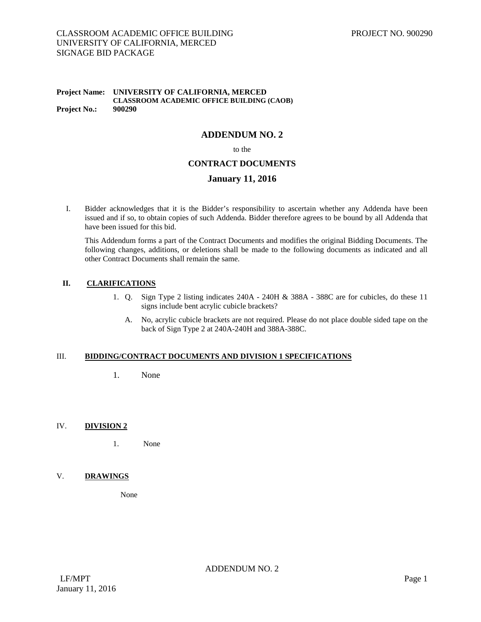# CLASSROOM ACADEMIC OFFICE BUILDING UNIVERSITY OF CALIFORNIA, MERCED SIGNAGE BID PACKAGE

#### **Project Name: UNIVERSITY OF CALIFORNIA, MERCED CLASSROOM ACADEMIC OFFICE BUILDING (CAOB) Project No.: 900290**

# **ADDENDUM NO. 2**

to the

### **CONTRACT DOCUMENTS**

### **January 11, 2016**

I. Bidder acknowledges that it is the Bidder's responsibility to ascertain whether any Addenda have been issued and if so, to obtain copies of such Addenda. Bidder therefore agrees to be bound by all Addenda that have been issued for this bid.

This Addendum forms a part of the Contract Documents and modifies the original Bidding Documents. The following changes, additions, or deletions shall be made to the following documents as indicated and all other Contract Documents shall remain the same.

#### **II. CLARIFICATIONS**

- 1. Q. Sign Type 2 listing indicates 240A 240H & 388A 388C are for cubicles, do these 11 signs include bent acrylic cubicle brackets?
	- A. No, acrylic cubicle brackets are not required. Please do not place double sided tape on the back of Sign Type 2 at 240A-240H and 388A-388C.

#### III. **BIDDING/CONTRACT DOCUMENTS AND DIVISION 1 SPECIFICATIONS**

1. None

#### IV. **DIVISION 2**

1. None

### V. **DRAWINGS**

None